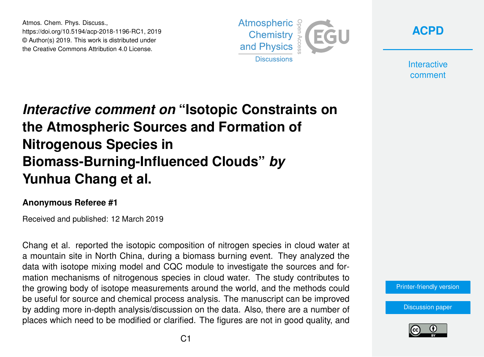Atmos. Chem. Phys. Discuss., https://doi.org/10.5194/acp-2018-1196-RC1, 2019 © Author(s) 2019. This work is distributed under the Creative Commons Attribution 4.0 License.



**[ACPD](https://www.atmos-chem-phys-discuss.net/)**

**Interactive** comment

## *Interactive comment on* **"Isotopic Constraints on the Atmospheric Sources and Formation of Nitrogenous Species in Biomass-Burning-Influenced Clouds"** *by* **Yunhua Chang et al.**

## **Anonymous Referee #1**

Received and published: 12 March 2019

Chang et al. reported the isotopic composition of nitrogen species in cloud water at a mountain site in North China, during a biomass burning event. They analyzed the data with isotope mixing model and CQC module to investigate the sources and formation mechanisms of nitrogenous species in cloud water. The study contributes to the growing body of isotope measurements around the world, and the methods could be useful for source and chemical process analysis. The manuscript can be improved by adding more in-depth analysis/discussion on the data. Also, there are a number of places which need to be modified or clarified. The figures are not in good quality, and

[Printer-friendly version](https://www.atmos-chem-phys-discuss.net/acp-2018-1196/acp-2018-1196-RC1-print.pdf)

[Discussion paper](https://www.atmos-chem-phys-discuss.net/acp-2018-1196)

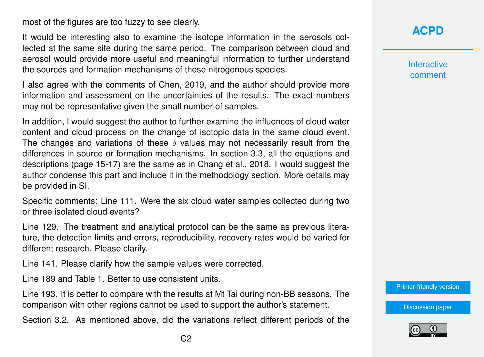most of the figures are too fuzzy to see clearly.

It would be interesting also to examine the isotope information in the aerosols collected at the same site during the same period. The comparison between cloud and aerosol would provide more useful and meaningful information to further understand the sources and formation mechanisms of these nitrogenous species.

I also agree with the comments of Chen, 2019, and the author should provide more information and assessment on the uncertainties of the results. The exact numbers may not be representative given the small number of samples.

In addition, I would suggest the author to further examine the influences of cloud water content and cloud process on the change of isotopic data in the same cloud event. The changes and variations of these  $\delta$  values may not necessarily result from the differences in source or formation mechanisms. In section 3.3, all the equations and descriptions (page 15-17) are the same as in Chang et al., 2018. I would suggest the author condense this part and include it in the methodology section. More details may be provided in SI.

Specific comments: Line 111. Were the six cloud water samples collected during two or three isolated cloud events?

Line 129. The treatment and analytical protocol can be the same as previous literature, the detection limits and errors, reproducibility, recovery rates would be varied for different research. Please clarify.

Line 141. Please clarify how the sample values were corrected.

Line 189 and Table 1. Better to use consistent units.

Line 193. It is better to compare with the results at Mt Tai during non-BB seasons. The comparison with other regions cannot be used to support the author's statement.

Section 3.2. As mentioned above, did the variations reflect different periods of the

**Interactive** comment

[Printer-friendly version](https://www.atmos-chem-phys-discuss.net/acp-2018-1196/acp-2018-1196-RC1-print.pdf)

[Discussion paper](https://www.atmos-chem-phys-discuss.net/acp-2018-1196)